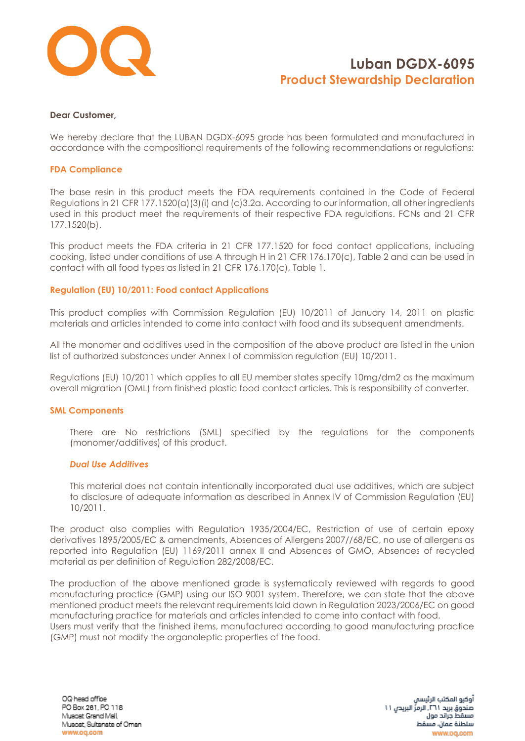

#### **Dear Customer,**

We hereby declare that the LUBAN DGDX-6095 grade has been formulated and manufactured in accordance with the compositional requirements of the following recommendations or regulations:

#### **FDA Compliance**

The base resin in this product meets the FDA requirements contained in the Code of Federal Regulations in 21 CFR 177.1520(a)(3)(i) and (c)3.2a. According to our information, all other ingredients used in this product meet the requirements of their respective FDA regulations. FCNs and 21 CFR 177.1520(b).

This product meets the FDA criteria in 21 CFR 177.1520 for food contact applications, including cooking, listed under conditions of use A through H in 21 CFR 176.170(c), Table 2 and can be used in contact with all food types as listed in 21 CFR 176.170(c), Table 1.

### **Regulation (EU) 10/2011: Food contact Applications**

This product complies with Commission Regulation (EU) 10/2011 of January 14, 2011 on plastic materials and articles intended to come into contact with food and its subsequent amendments.

All the monomer and additives used in the composition of the above product are listed in the union list of authorized substances under Annex I of commission regulation (EU) 10/2011.

Regulations (EU) 10/2011 which applies to all EU member states specify 10mg/dm2 as the maximum overall migration (OML) from finished plastic food contact articles. This is responsibility of converter.

#### **SML Components**

There are No restrictions (SML) specified by the regulations for the components (monomer/additives) of this product.

#### *Dual Use Additives*

This material does not contain intentionally incorporated dual use additives, which are subject to disclosure of adequate information as described in Annex IV of Commission Regulation (EU) 10/2011.

The product also complies with Regulation 1935/2004/EC, Restriction of use of certain epoxy derivatives 1895/2005/EC & amendments, Absences of Allergens 2007//68/EC, no use of allergens as reported into Regulation (EU) 1169/2011 annex II and Absences of GMO, Absences of recycled material as per definition of Regulation 282/2008/EC.

The production of the above mentioned grade is systematically reviewed with regards to good manufacturing practice (GMP) using our ISO 9001 system. Therefore, we can state that the above mentioned product meets the relevant requirements laid down in Regulation 2023/2006/EC on good manufacturing practice for materials and articles intended to come into contact with food. Users must verify that the finished items, manufactured according to good manufacturing practice (GMP) must not modify the organoleptic properties of the food.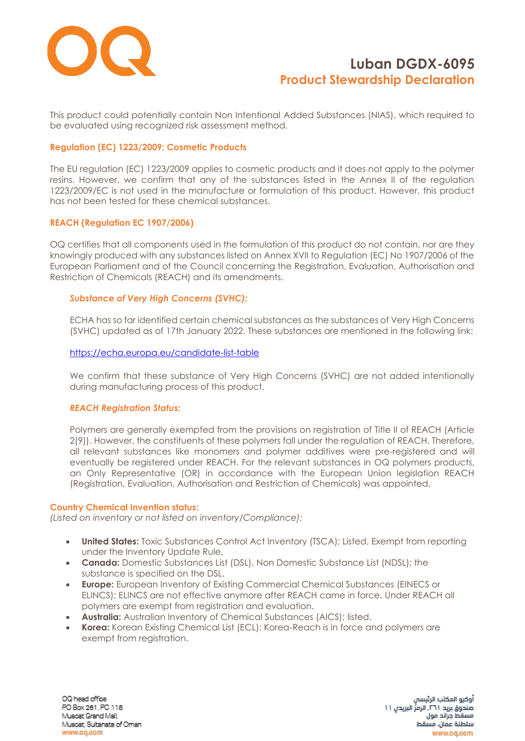

This product could potentially contain Non Intentional Added Substances (NIAS), which required to be evaluated using recognized risk assessment method.

### **Regulation (EC) 1223/2009: Cosmetic Products**

The EU regulation (EC) 1223/2009 applies to cosmetic products and it does not apply to the polymer resins. However, we confirm that any of the substances listed in the Annex II of the regulation 1223/2009/EC is not used in the manufacture or formulation of this product. However, this product has not been tested for these chemical substances.

### **REACH (Regulation EC 1907/2006)**

OQ certifies that all components used in the formulation of this product do not contain, nor are they knowingly produced with any substances listed on Annex XVII to Regulation (EC) No 1907/2006 of the European Parliament and of the Council concerning the Registration, Evaluation, Authorisation and Restriction of Chemicals (REACH) and its amendments.

## *Substance of Very High Concerns (SVHC):*

ECHA has so far identified certain chemical substances as the substances of Very High Concerns (SVHC) updated as of 17th January 2022. These substances are mentioned in the following link:

### <https://echa.europa.eu/candidate-list-table>

We confirm that these substance of Very High Concerns (SVHC) are not added intentionally during manufacturing process of this product.

### *REACH Registration Status:*

Polymers are generally exempted from the provisions on registration of Title II of REACH (Article 2(9)). However, the constituents of these polymers fall under the regulation of REACH. Therefore, all relevant substances like monomers and polymer additives were pre-registered and will eventually be registered under REACH. For the relevant substances in OQ polymers products, an Only Representative (OR) in accordance with the European Union legislation REACH (Registration, Evaluation, Authorisation and Restriction of Chemicals) was appointed.

### **Country Chemical Invention status:**

*(Listed on inventory or not listed on inventory/Compliance):*

- **United States:** Toxic Substances Control Act Inventory (TSCA); Listed, Exempt from reporting under the Inventory Update Rule.
- **Canada:** Domestic Substances List (DSL), Non Domestic Substance List (NDSL); the substance is specified on the DSL.
- **Europe:** European Inventory of Existing Commercial Chemical Substances (EINECS or ELINCS); ELINCS are not effective anymore after REACH came in force. Under REACH all polymers are exempt from registration and evaluation.
- **Australia:** Australian Inventory of Chemical Substances (AICS); listed.
- **Korea:** Korean Existing Chemical List (ECL); Korea-Reach is in force and polymers are exempt from registration.

OQ head office PO Box 261, PC 118 Muscat Grand Mall, Muscat, Sultanate of Oman www.og.com

أوكيو المكتب الرئيسا صندوق بريد ٢٦١. الرمزِّ البريدن ١١ مسقط جراتد مول سلطنة عمان، مسقط www.oq.com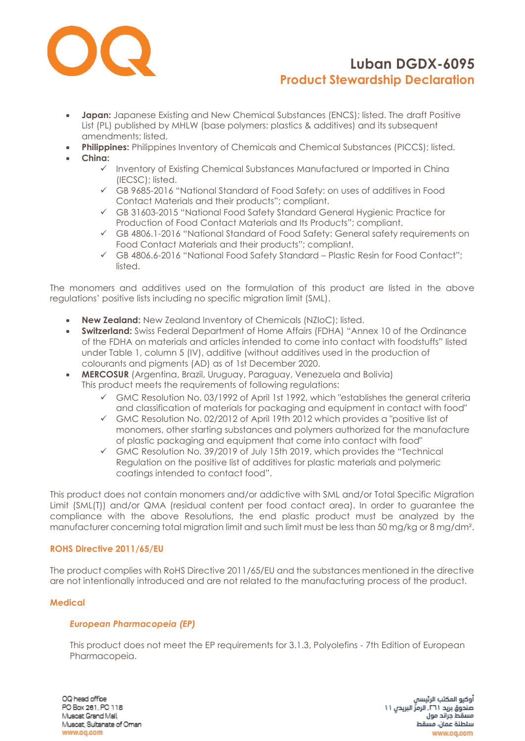

- **Japan:** Japanese Existing and New Chemical Substances (ENCS); listed. The draft Positive List (PL) published by MHLW (base polymers: plastics & additives) and its subsequent amendments; listed.
- **Philippines:** Philippines Inventory of Chemicals and Chemical Substances (PICCS); listed.
- **China:**
	- ✓ Inventory of Existing Chemical Substances Manufactured or Imported in China (IECSC); listed.
	- ✓ GB 9685-2016 "National Standard of Food Safety: on uses of additives in Food Contact Materials and their products"; compliant.
	- ✓ GB 31603-2015 "National Food Safety Standard General Hygienic Practice for Production of Food Contact Materials and Its Products"; compliant.
	- ✓ GB 4806.1-2016 "National Standard of Food Safety: General safety requirements on Food Contact Materials and their products"; compliant.
	- ✓ GB 4806.6-2016 "National Food Safety Standard Plastic Resin for Food Contact"; listed.

The monomers and additives used on the formulation of this product are listed in the above regulations' positive lists including no specific migration limit (SML).

- **New Zealand:** New Zealand Inventory of Chemicals (NZIoC); listed.
- **Switzerland:** Swiss Federal Department of Home Affairs (FDHA) "Annex 10 of the Ordinance of the FDHA on materials and articles intended to come into contact with foodstuffs" listed under Table 1, column 5 (IV), additive (without additives used in the production of colourants and pigments (AD) as of 1st December 2020.
- **MERCOSUR** (Argentina, Brazil, Uruguay, Paraguay, Venezuela and Bolivia) This product meets the requirements of following regulations:
	- $\checkmark$  GMC Resolution No. 03/1992 of April 1st 1992, which "establishes the general criteria and classification of materials for packaging and equipment in contact with food"
	- ✓ GMC Resolution No. 02/2012 of April 19th 2012 which provides a "positive list of monomers, other starting substances and polymers authorized for the manufacture of plastic packaging and equipment that come into contact with food"
	- ✓ GMC Resolution No. 39/2019 of July 15th 2019, which provides the "Technical Regulation on the positive list of additives for plastic materials and polymeric coatings intended to contact food".

This product does not contain monomers and/or addictive with SML and/or Total Specific Migration Limit (SML(T)) and/or QMA (residual content per food contact area). In order to guarantee the compliance with the above Resolutions, the end plastic product must be analyzed by the manufacturer concerning total migration limit and such limit must be less than 50 mg/kg or 8 mg/dm².

## **ROHS Directive 2011/65/EU**

The product complies with RoHS Directive 2011/65/EU and the substances mentioned in the directive are not intentionally introduced and are not related to the manufacturing process of the product.

### **Medical**

### *European Pharmacopeia (EP)*

This product does not meet the EP requirements for 3.1.3, Polyolefins - 7th Edition of European Pharmacopeia.

OQ head office PO Box 261, PC 118 Muscat Grand Mall, Muscat, Sultanate of Oman www.oq.com

أوكيو المكتب الرئيسا صندوق بريد ٢٦١. الرمزِّ البريدن ١١ مسقط جراتد مول سلطنة عمان، مسقط www.oq.com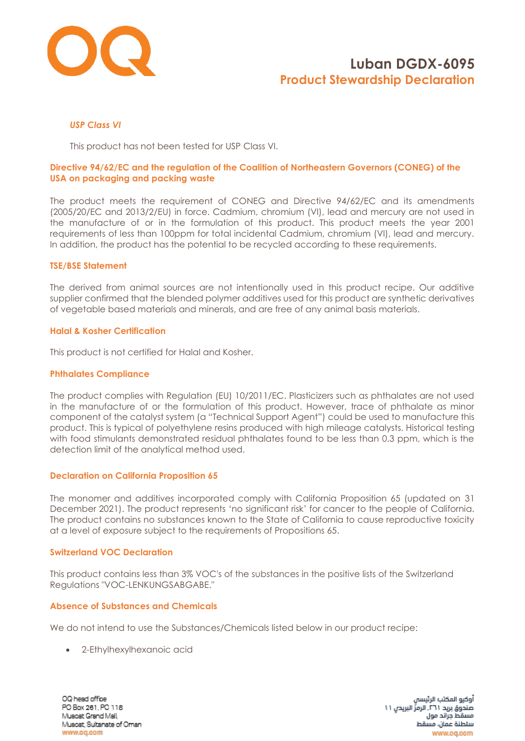

## *USP Class VI*

This product has not been tested for USP Class VI.

### **Directive 94/62/EC and the regulation of the Coalition of Northeastern Governors (CONEG) of the USA on packaging and packing waste**

The product meets the requirement of CONEG and Directive 94/62/EC and its amendments (2005/20/EC and 2013/2/EU) in force. Cadmium, chromium (VI), lead and mercury are not used in the manufacture of or in the formulation of this product. This product meets the year 2001 requirements of less than 100ppm for total incidental Cadmium, chromium (VI), lead and mercury. In addition, the product has the potential to be recycled according to these requirements.

#### **TSE/BSE Statement**

The derived from animal sources are not intentionally used in this product recipe. Our additive supplier confirmed that the blended polymer additives used for this product are synthetic derivatives of vegetable based materials and minerals, and are free of any animal basis materials.

#### **Halal & Kosher Certification**

This product is not certified for Halal and Kosher.

#### **Phthalates Compliance**

The product complies with Regulation (EU) 10/2011/EC. Plasticizers such as phthalates are not used in the manufacture of or the formulation of this product. However, trace of phthalate as minor component of the catalyst system (a "Technical Support Agent") could be used to manufacture this product. This is typical of polyethylene resins produced with high mileage catalysts. Historical testing with food stimulants demonstrated residual phthalates found to be less than 0.3 ppm, which is the detection limit of the analytical method used.

### **Declaration on California Proposition 65**

The monomer and additives incorporated comply with California Proposition 65 (updated on 31 December 2021). The product represents 'no significant risk' for cancer to the people of California. The product contains no substances known to the State of California to cause reproductive toxicity at a level of exposure subject to the requirements of Propositions 65.

#### **Switzerland VOC Declaration**

This product contains less than 3% VOC's of the substances in the positive lists of the Switzerland Regulations "VOC-LENKUNGSABGABE."

### **Absence of Substances and Chemicals**

We do not intend to use the Substances/Chemicals listed below in our product recipe:

• 2-Ethylhexylhexanoic acid

OQ head office PO Box 261, PC 118 Muscat Grand Mall, Muscat, Sultanate of Oman www.og.com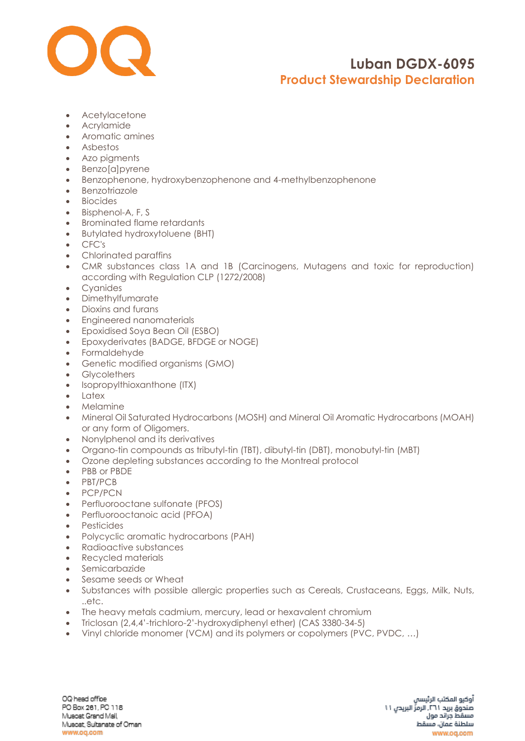

- Acetylacetone
- Acrylamide
- Aromatic amines
- Asbestos
- Azo pigments
- Benzo[a]pyrene
- Benzophenone, hydroxybenzophenone and 4-methylbenzophenone
- Benzotriazole
- Biocides
- Bisphenol-A, F, S
- Brominated flame retardants
- Butylated hydroxytoluene (BHT)
- CFC's
- Chlorinated paraffins
- CMR substances class 1A and 1B (Carcinogens, Mutagens and toxic for reproduction) according with Regulation CLP (1272/2008)
- Cyanides
- Dimethylfumarate
- Dioxins and furans
- Engineered nanomaterials
- Epoxidised Soya Bean Oil (ESBO)
- Epoxyderivates (BADGE, BFDGE or NOGE)
- Formaldehyde
- Genetic modified organisms (GMO)
- Glycolethers
- [Isopropylthioxanthone](https://www.google.com/search?rlz=1C1CHBF_enAE772AE772&q=Isopropylthioxanthone+(ITX)&spell=1&sa=X&ved=0ahUKEwjZgv6l6_fZAhWOblAKHQZfCSMQkeECCCIoAA) (ITX)
- Latex
- Melamine
- Mineral Oil Saturated Hydrocarbons (MOSH) and Mineral Oil Aromatic Hydrocarbons (MOAH) or any form of Oligomers.
- Nonylphenol and its derivatives
- Organo-tin compounds as tributyl-tin (TBT), dibutyl-tin (DBT), monobutyl-tin (MBT)
- Ozone depleting substances according to the Montreal protocol
- PBB or PBDE
- PBT/PCB
- PCP/PCN
- Perfluorooctane sulfonate (PFOS)
- Perfluorooctanoic acid (PFOA)
- Pesticides
- Polycyclic aromatic hydrocarbons (PAH)
- Radioactive substances
- Recycled materials
- Semicarbazide
- Sesame seeds or Wheat
- Substances with possible allergic properties such as Cereals, Crustaceans, Eggs, Milk, Nuts, ..etc.
- The heavy metals cadmium, mercury, lead or hexavalent chromium
- Triclosan (2,4,4'-trichloro-2'-hydroxydiphenyl ether) (CAS 3380-34-5)
- Vinyl chloride monomer (VCM) and its polymers or copolymers (PVC, PVDC, …)

OQ head office PO Box 261, PC 118 Muscat Grand Mall, Muscat, Sultanate of Oman www.oq.com